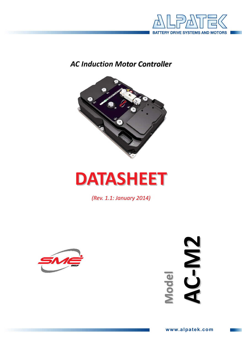

# **AC Induction Motor Controller**



# **DATASHEET**

(Rev. 1.1: January 2014)



AC-M2 Model

www.alpatek.com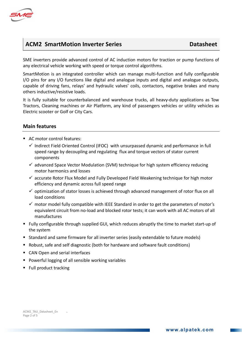

# ACM2 SmartMotion Inverter Series **Datasheet**

SME inverters provide advanced control of AC induction motors for traction or pump functions of any electrical vehicle working with speed or torque control algorithms.

SmartMotion is an integrated controller which can manage multi-function and fully configurable I/O pins for any I/O functions like digital and analogue inputs and digital and analogue outputs, capable of driving fans, relays' and hydraulic valves' coils, contactors, negative brakes and many others inductive/resistive loads.

It is fully suitable for counterbalanced and warehouse trucks, all heavy-duty applications as Tow Tractors, Cleaning machines or Air Platform, any kind of passengers vehicles or utility vehicles as Electric scooter or Golf or City Cars.

### Main features

- AC motor control features:
	- Indirect Field Oriented Control (IFOC) with unsurpassed dynamic and performance in full speed range by decoupling and regulating flux and torque vectors of stator current components
	- advanced Space Vector Modulation (SVM) technique for high system efficiency reducing motor harmonics and losses
	- accurate Rotor Flux Model and Fully Developed Field Weakening technique for high motor efficiency and dynamic across full speed range
	- optimization of stator losses is achieved through advanced management of rotor flux on all load conditions
	- motor model fully compatible with IEEE Standard in order to get the parameters of motor's equivalent circuit from no-load and blocked rotor tests; it can work with all AC motors of all manufactures
- Fully configurable through supplied GUI, which reduces abruptly the time to market start-up of the system
- Standard and same firmware for all inverter series (easily extendable to future models)
- Robust, safe and self diagnostic (both for hardware and software fault conditions)
- CAN Open and serial interfaces
- **Powerful logging of all sensible working variables**
- Full product tracking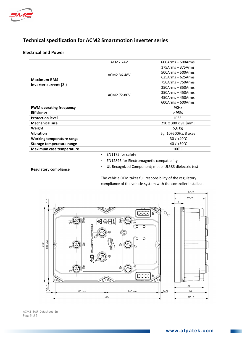

## Technical specification for ACM2 Smartmotion inverter series

#### Electrical and Power

| <b>Maximum RMS</b><br>inverter current (2') | <b>ACM2 24V</b>                               | $600Arms + 600Arms$  |
|---------------------------------------------|-----------------------------------------------|----------------------|
|                                             | ACM2 36-48V                                   | 375Arms + 375Arms    |
|                                             |                                               | 500Arms + 500Arms    |
|                                             |                                               | $625Arms + 625Arms$  |
|                                             |                                               | 750Arms + 750Arms    |
|                                             | ACM2 72-80V                                   | 350Arms + 350Arms    |
|                                             |                                               | 350Arms + 450Arms    |
|                                             |                                               | $450Arms + 450Arms$  |
|                                             |                                               | $600Arms + 600Arms$  |
| <b>PWM operating frequency</b>              |                                               | 9KHz                 |
| <b>Efficiency</b>                           |                                               | >95%                 |
| <b>Protection level</b>                     |                                               | <b>IP65</b>          |
| <b>Mechanical size</b>                      |                                               | 210 x 300 x 91 [mm]  |
| Weight                                      |                                               | 5,6 kg               |
| <b>Vibration</b>                            |                                               | 5g, 10÷500Hz, 3 axes |
| Working temperature range                   |                                               | $-30/+40^{\circ}$ C  |
| Storage temperature range                   |                                               | $-40/+50°C$          |
| Maximum case temperature                    |                                               | $100^{\circ}$ C      |
|                                             | EN1175 for safety<br>$\overline{\phantom{a}}$ |                      |
|                                             |                                               |                      |

- EN12895 for Electromagnetic compatibility

Regulatory compliance

- UL Recognized Component; meets UL583 dielectric test

The vehicle OEM takes full responsibility of the regulatory compliance of the vehicle system with the controller installed.



ACM2\_TAU\_Datasheet\_En . Page 3 of 5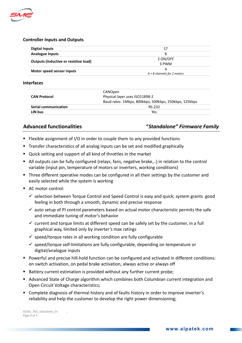

#### Controller Inputs and Outputs

| <b>Digital Inputs</b>                 | 17                            |
|---------------------------------------|-------------------------------|
| <b>Analogue Inputs</b>                | 8                             |
|                                       | 2 ON/OFF                      |
| Outputs (inductive or resistive load) | 3 PWM                         |
|                                       | 4                             |
| Motor speed sensor inputs             | $A + B$ channels for 2 motors |

#### Interfaces

|                             | CANOpen                                               |  |
|-----------------------------|-------------------------------------------------------|--|
| <b>CAN Protocol</b>         | Physical layer uses ISO11898-2                        |  |
|                             | Baud rates: 1Mbps, 800kbps, 500kbps, 250kbps, 125kbps |  |
| <b>Serial communication</b> | RS-232                                                |  |
| LIN bus                     | Yes                                                   |  |

#### Advanced functionalities "Standalone" Firmware Family

- **Filexible assignment of I/O in order to couple them to any provided functions**
- Transfer characteristics of all analog inputs can be set and modified graphically
- Quick setting and support of all kind of throttles in the market
- All outputs can be fully configured (relays, fans, negative brake,..) in relation to the control variable (input pin, temperature of motors or inverters, working conditions)
- **Three different operative modes can be configured in all their settings by the customer and** easily selected while the system is working
- AC motor control:
	- selection between Torque Control and Speed Control is easy and quick; system grants good feeling in both through a smooth, dynamic and precise response
	- $\checkmark$  auto setup of PI control parameters based on actual motor characteristic permits the safe and immediate tuning of motor's behavior
	- $\checkmark$  current and torque limits at different speed can be safely set by the customer, in a full graphical way, limited only by inverter's max ratings
	- $\checkmark$  speed/torque rates in all working condition are fully configurable
	- speed/torque self-limitations are fully configurable, depending on temperature or digital/analogue inputs
- Powerful and precise hill-hold function can be configured and activated in different conditions: on switch activation, on pedal brake activation, always active or always off
- Battery current estimation is provided without any further current probe;
- Advanced State of Charge algorithm which combines both Columbian current integration and Open Circuit Voltage characteristics;
- Complete diagnosis of thermal history and of faults history in order to improve inverter's reliability and help the customer to develop the right power dimensioning;

ACM2\_TAU\_Datasheet\_En . Page 4 of 5